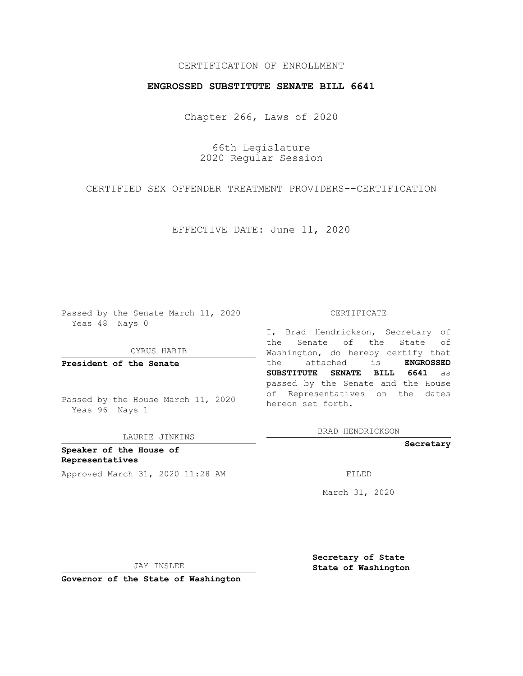## CERTIFICATION OF ENROLLMENT

## **ENGROSSED SUBSTITUTE SENATE BILL 6641**

Chapter 266, Laws of 2020

66th Legislature 2020 Regular Session

CERTIFIED SEX OFFENDER TREATMENT PROVIDERS--CERTIFICATION

EFFECTIVE DATE: June 11, 2020

Passed by the Senate March 11, 2020 Yeas 48 Nays 0

CYRUS HABIB

**President of the Senate**

Passed by the House March 11, 2020 Yeas 96 Nays 1

LAURIE JINKINS

**Speaker of the House of Representatives** Approved March 31, 2020 11:28 AM FILED

#### CERTIFICATE

I, Brad Hendrickson, Secretary of the Senate of the State of Washington, do hereby certify that the attached is **ENGROSSED SUBSTITUTE SENATE BILL 6641** as passed by the Senate and the House of Representatives on the dates hereon set forth.

BRAD HENDRICKSON

**Secretary**

March 31, 2020

JAY INSLEE

**Secretary of State State of Washington**

**Governor of the State of Washington**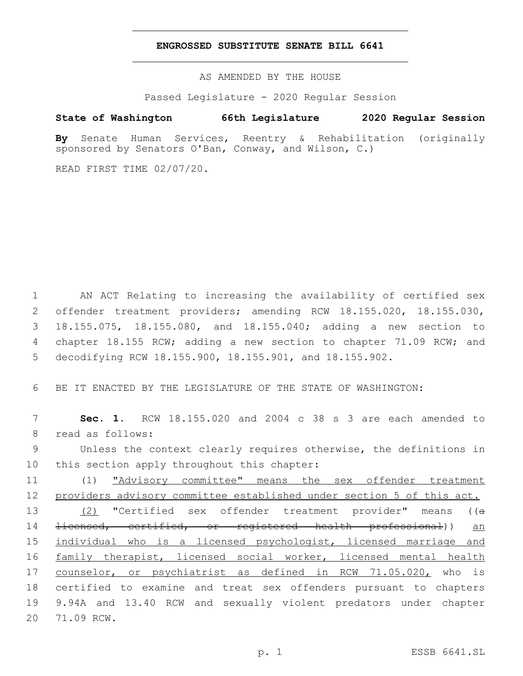### **ENGROSSED SUBSTITUTE SENATE BILL 6641**

AS AMENDED BY THE HOUSE

Passed Legislature - 2020 Regular Session

# **State of Washington 66th Legislature 2020 Regular Session**

**By** Senate Human Services, Reentry & Rehabilitation (originally sponsored by Senators O'Ban, Conway, and Wilson, C.)

READ FIRST TIME 02/07/20.

 AN ACT Relating to increasing the availability of certified sex offender treatment providers; amending RCW 18.155.020, 18.155.030, 18.155.075, 18.155.080, and 18.155.040; adding a new section to 4 chapter 18.155 RCW; adding a new section to chapter 71.09 RCW; and decodifying RCW 18.155.900, 18.155.901, and 18.155.902.

6 BE IT ENACTED BY THE LEGISLATURE OF THE STATE OF WASHINGTON:

7 **Sec. 1.** RCW 18.155.020 and 2004 c 38 s 3 are each amended to 8 read as follows:

9 Unless the context clearly requires otherwise, the definitions in 10 this section apply throughout this chapter:

11 (1) "Advisory committee" means the sex offender treatment 12 providers advisory committee established under section 5 of this act.

13 (2) "Certified sex offender treatment provider" means ((a 14 <del>licensed, certified, or registered health professional</del>)) an 15 individual who is a licensed psychologist, licensed marriage and 16 family therapist, licensed social worker, licensed mental health 17 counselor, or psychiatrist as defined in RCW 71.05.020, who is 18 certified to examine and treat sex offenders pursuant to chapters 19 9.94A and 13.40 RCW and sexually violent predators under chapter 20 71.09 RCW.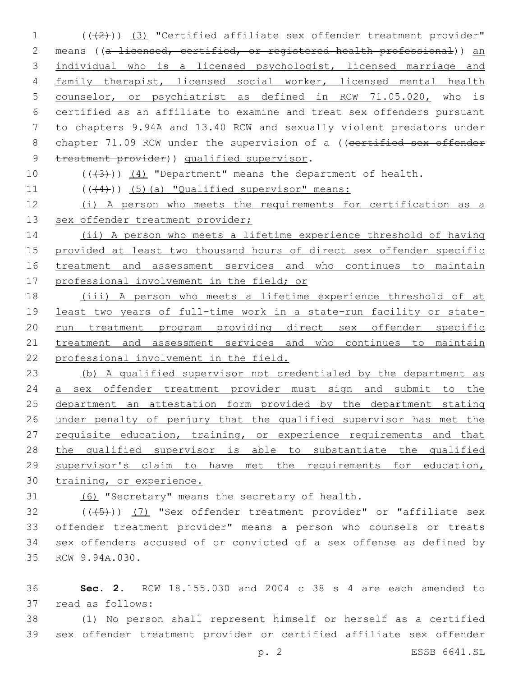1 (( $(2)$ )) (3) "Certified affiliate sex offender treatment provider" 2 means ((a licensed, certified, or registered health professional)) an individual who is a licensed psychologist, licensed marriage and family therapist, licensed social worker, licensed mental health counselor, or psychiatrist as defined in RCW 71.05.020, who is certified as an affiliate to examine and treat sex offenders pursuant to chapters 9.94A and 13.40 RCW and sexually violent predators under 8 chapter 71.09 RCW under the supervision of a ((certified sex offender 9 treatment provider)) qualified supervisor.

10  $((+3+))$   $(4)$  "Department" means the department of health.

11 (((4))) (5)(a) "Qualified supervisor" means:

 (i) A person who meets the requirements for certification as a 13 sex offender treatment provider;

 (ii) A person who meets a lifetime experience threshold of having provided at least two thousand hours of direct sex offender specific treatment and assessment services and who continues to maintain professional involvement in the field; or

 (iii) A person who meets a lifetime experience threshold of at least two years of full-time work in a state-run facility or state-20 run treatment program providing direct sex offender specific treatment and assessment services and who continues to maintain professional involvement in the field.

 (b) A qualified supervisor not credentialed by the department as a sex offender treatment provider must sign and submit to the department an attestation form provided by the department stating under penalty of perjury that the qualified supervisor has met the 27 requisite education, training, or experience requirements and that the qualified supervisor is able to substantiate the qualified supervisor's claim to have met the requirements for education, training, or experience.

(6) "Secretary" means the secretary of health.

 (( $(45)$ )) (7) "Sex offender treatment provider" or "affiliate sex offender treatment provider" means a person who counsels or treats sex offenders accused of or convicted of a sex offense as defined by 35 RCW 9.94A.030.

 **Sec. 2.** RCW 18.155.030 and 2004 c 38 s 4 are each amended to 37 read as follows:

 (1) No person shall represent himself or herself as a certified sex offender treatment provider or certified affiliate sex offender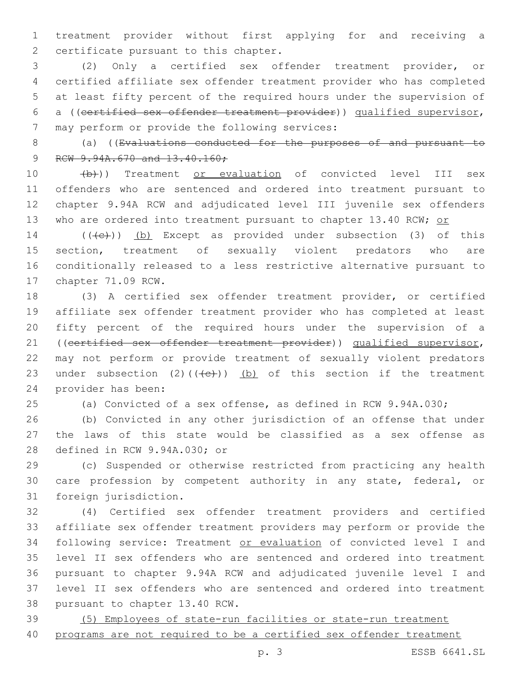treatment provider without first applying for and receiving a 2 certificate pursuant to this chapter.

 (2) Only a certified sex offender treatment provider, or certified affiliate sex offender treatment provider who has completed at least fifty percent of the required hours under the supervision of a ((certified sex offender treatment provider)) qualified supervisor, 7 may perform or provide the following services:

 (a) ((Evaluations conducted for the purposes of and pursuant to 9 RCW 9.94A.670 and 13.40.160;

10 (b))) Treatment or evaluation of convicted level III sex offenders who are sentenced and ordered into treatment pursuant to chapter 9.94A RCW and adjudicated level III juvenile sex offenders 13 who are ordered into treatment pursuant to chapter 13.40 RCW; or

14 (((e)) (b) Except as provided under subsection (3) of this section, treatment of sexually violent predators who are conditionally released to a less restrictive alternative pursuant to 17 chapter 71.09 RCW.

 (3) A certified sex offender treatment provider, or certified affiliate sex offender treatment provider who has completed at least fifty percent of the required hours under the supervision of a ((certified sex offender treatment provider)) qualified supervisor, may not perform or provide treatment of sexually violent predators 23 under subsection (2)( $(\overline{+e})$ ) (b) of this section if the treatment 24 provider has been:

(a) Convicted of a sex offense, as defined in RCW 9.94A.030;

 (b) Convicted in any other jurisdiction of an offense that under the laws of this state would be classified as a sex offense as 28 defined in RCW 9.94A.030; or

 (c) Suspended or otherwise restricted from practicing any health care profession by competent authority in any state, federal, or 31 foreign jurisdiction.

 (4) Certified sex offender treatment providers and certified affiliate sex offender treatment providers may perform or provide the following service: Treatment or evaluation of convicted level I and level II sex offenders who are sentenced and ordered into treatment pursuant to chapter 9.94A RCW and adjudicated juvenile level I and level II sex offenders who are sentenced and ordered into treatment 38 pursuant to chapter 13.40 RCW.

 (5) Employees of state-run facilities or state-run treatment programs are not required to be a certified sex offender treatment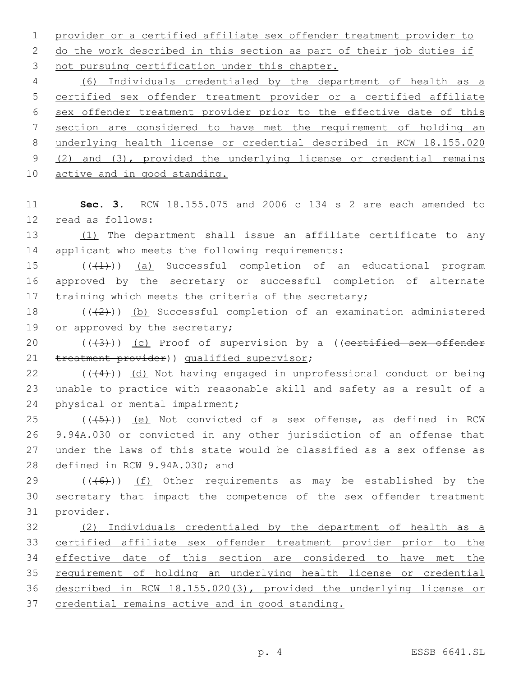1 provider or a certified affiliate sex offender treatment provider to 2 do the work described in this section as part of their job duties if 3 not pursuing certification under this chapter.

 (6) Individuals credentialed by the department of health as a certified sex offender treatment provider or a certified affiliate sex offender treatment provider prior to the effective date of this section are considered to have met the requirement of holding an underlying health license or credential described in RCW 18.155.020 (2) and (3), provided the underlying license or credential remains 10 active and in good standing.

11 **Sec. 3.** RCW 18.155.075 and 2006 c 134 s 2 are each amended to 12 read as follows:

13 (1) The department shall issue an affiliate certificate to any 14 applicant who meets the following requirements:

15 (((4))) (a) Successful completion of an educational program 16 approved by the secretary or successful completion of alternate 17 training which meets the criteria of the secretary;

18  $((+2+))$  (b) Successful completion of an examination administered 19 or approved by the secretary;

20 (((3))) (c) Proof of supervision by a ((certified sex offender 21 treatment provider)) qualified supervisor;

 $22$  (( $(4)$ )) (d) Not having engaged in unprofessional conduct or being 23 unable to practice with reasonable skill and safety as a result of a 24 physical or mental impairment;

 ( $(\overline{+5})$ ) <u>(e)</u> Not convicted of a sex offense, as defined in RCW 9.94A.030 or convicted in any other jurisdiction of an offense that under the laws of this state would be classified as a sex offense as 28 defined in RCW 9.94A.030; and

29  $((+6+))$  (f) Other requirements as may be established by the 30 secretary that impact the competence of the sex offender treatment 31 provider.

 (2) Individuals credentialed by the department of health as a certified affiliate sex offender treatment provider prior to the effective date of this section are considered to have met the requirement of holding an underlying health license or credential described in RCW 18.155.020(3), provided the underlying license or credential remains active and in good standing.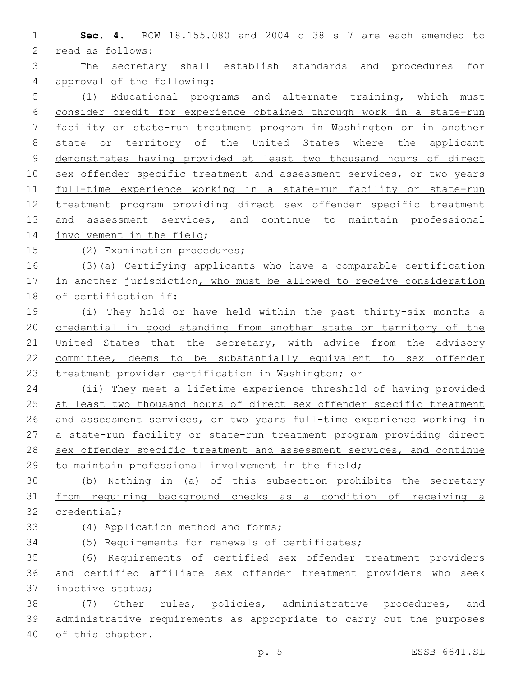**Sec. 4.** RCW 18.155.080 and 2004 c 38 s 7 are each amended to 2 read as follows:

 The secretary shall establish standards and procedures for 4 approval of the following:

 (1) Educational programs and alternate training, which must consider credit for experience obtained through work in a state-run facility or state-run treatment program in Washington or in another 8 state or territory of the United States where the applicant demonstrates having provided at least two thousand hours of direct 10 sex offender specific treatment and assessment services, or two years full-time experience working in a state-run facility or state-run treatment program providing direct sex offender specific treatment 13 and assessment services, and continue to maintain professional 14 involvement in the field;

15 (2) Examination procedures;

 (3)(a) Certifying applicants who have a comparable certification 17 in another jurisdiction, who must be allowed to receive consideration of certification if:

 (i) They hold or have held within the past thirty-six months a credential in good standing from another state or territory of the 21 United States that the secretary, with advice from the advisory committee, deems to be substantially equivalent to sex offender treatment provider certification in Washington; or

 (ii) They meet a lifetime experience threshold of having provided 25 at least two thousand hours of direct sex offender specific treatment and assessment services, or two years full-time experience working in 27 a state-run facility or state-run treatment program providing direct 28 sex offender specific treatment and assessment services, and continue to maintain professional involvement in the field;

 (b) Nothing in (a) of this subsection prohibits the secretary from requiring background checks as a condition of receiving a credential;

33 (4) Application method and forms;

(5) Requirements for renewals of certificates;

 (6) Requirements of certified sex offender treatment providers and certified affiliate sex offender treatment providers who seek 37 inactive status;

 (7) Other rules, policies, administrative procedures, and administrative requirements as appropriate to carry out the purposes 40 of this chapter.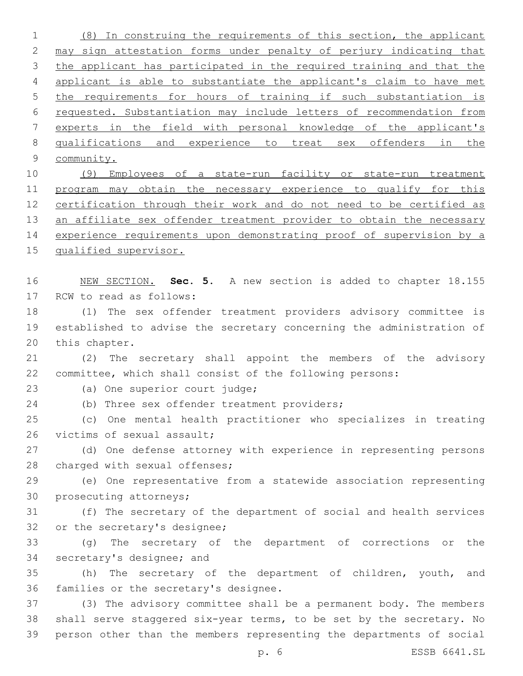(8) In construing the requirements of this section, the applicant may sign attestation forms under penalty of perjury indicating that 3 the applicant has participated in the required training and that the applicant is able to substantiate the applicant's claim to have met the requirements for hours of training if such substantiation is requested. Substantiation may include letters of recommendation from experts in the field with personal knowledge of the applicant's qualifications and experience to treat sex offenders in the community. (9) Employees of a state-run facility or state-run treatment program may obtain the necessary experience to qualify for this certification through their work and do not need to be certified as 13 an affiliate sex offender treatment provider to obtain the necessary experience requirements upon demonstrating proof of supervision by a qualified supervisor. NEW SECTION. **Sec. 5.** A new section is added to chapter 18.155 17 RCW to read as follows: (1) The sex offender treatment providers advisory committee is established to advise the secretary concerning the administration of 20 this chapter. (2) The secretary shall appoint the members of the advisory committee, which shall consist of the following persons: 23 (a) One superior court judge; 24 (b) Three sex offender treatment providers; (c) One mental health practitioner who specializes in treating 26 victims of sexual assault; (d) One defense attorney with experience in representing persons 28 charged with sexual offenses; (e) One representative from a statewide association representing 30 prosecuting attorneys; (f) The secretary of the department of social and health services 32 or the secretary's designee;

 (g) The secretary of the department of corrections or the 34 secretary's designee; and

 (h) The secretary of the department of children, youth, and 36 families or the secretary's designee.

 (3) The advisory committee shall be a permanent body. The members shall serve staggered six-year terms, to be set by the secretary. No person other than the members representing the departments of social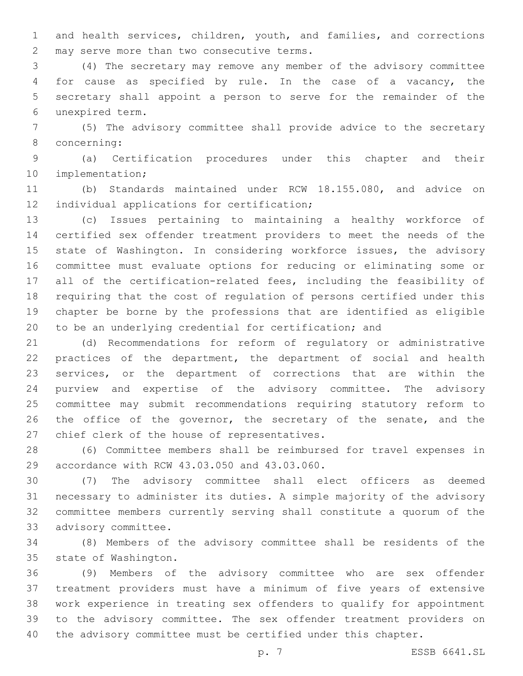and health services, children, youth, and families, and corrections 2 may serve more than two consecutive terms.

 (4) The secretary may remove any member of the advisory committee for cause as specified by rule. In the case of a vacancy, the secretary shall appoint a person to serve for the remainder of the unexpired term.6

 (5) The advisory committee shall provide advice to the secretary concerning:8

 (a) Certification procedures under this chapter and their 10 implementation;

 (b) Standards maintained under RCW 18.155.080, and advice on 12 individual applications for certification;

 (c) Issues pertaining to maintaining a healthy workforce of certified sex offender treatment providers to meet the needs of the 15 state of Washington. In considering workforce issues, the advisory committee must evaluate options for reducing or eliminating some or all of the certification-related fees, including the feasibility of requiring that the cost of regulation of persons certified under this chapter be borne by the professions that are identified as eligible to be an underlying credential for certification; and

 (d) Recommendations for reform of regulatory or administrative practices of the department, the department of social and health services, or the department of corrections that are within the purview and expertise of the advisory committee. The advisory committee may submit recommendations requiring statutory reform to 26 the office of the governor, the secretary of the senate, and the 27 chief clerk of the house of representatives.

 (6) Committee members shall be reimbursed for travel expenses in 29 accordance with RCW 43.03.050 and 43.03.060.

 (7) The advisory committee shall elect officers as deemed necessary to administer its duties. A simple majority of the advisory committee members currently serving shall constitute a quorum of the 33 advisory committee.

 (8) Members of the advisory committee shall be residents of the 35 state of Washington.

 (9) Members of the advisory committee who are sex offender treatment providers must have a minimum of five years of extensive work experience in treating sex offenders to qualify for appointment to the advisory committee. The sex offender treatment providers on the advisory committee must be certified under this chapter.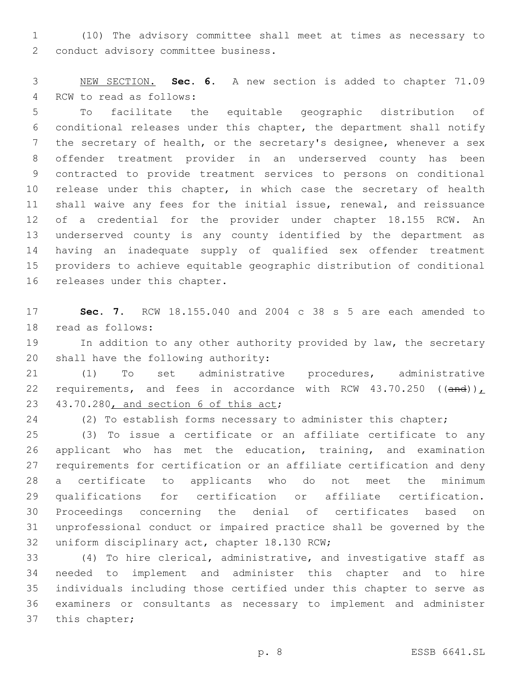(10) The advisory committee shall meet at times as necessary to 2 conduct advisory committee business.

 NEW SECTION. **Sec. 6.** A new section is added to chapter 71.09 4 RCW to read as follows:

 To facilitate the equitable geographic distribution of conditional releases under this chapter, the department shall notify the secretary of health, or the secretary's designee, whenever a sex offender treatment provider in an underserved county has been contracted to provide treatment services to persons on conditional 10 release under this chapter, in which case the secretary of health shall waive any fees for the initial issue, renewal, and reissuance of a credential for the provider under chapter 18.155 RCW. An underserved county is any county identified by the department as having an inadequate supply of qualified sex offender treatment providers to achieve equitable geographic distribution of conditional 16 releases under this chapter.

 **Sec. 7.** RCW 18.155.040 and 2004 c 38 s 5 are each amended to 18 read as follows:

19 In addition to any other authority provided by law, the secretary 20 shall have the following authority:

 (1) To set administrative procedures, administrative 22 requirements, and fees in accordance with RCW 43.70.250 ((and)) $_L$ 23 43.70.280, and section 6 of this act;

(2) To establish forms necessary to administer this chapter;

 (3) To issue a certificate or an affiliate certificate to any applicant who has met the education, training, and examination requirements for certification or an affiliate certification and deny a certificate to applicants who do not meet the minimum qualifications for certification or affiliate certification. Proceedings concerning the denial of certificates based on unprofessional conduct or impaired practice shall be governed by the 32 uniform disciplinary act, chapter 18.130 RCW;

 (4) To hire clerical, administrative, and investigative staff as needed to implement and administer this chapter and to hire individuals including those certified under this chapter to serve as examiners or consultants as necessary to implement and administer 37 this chapter;